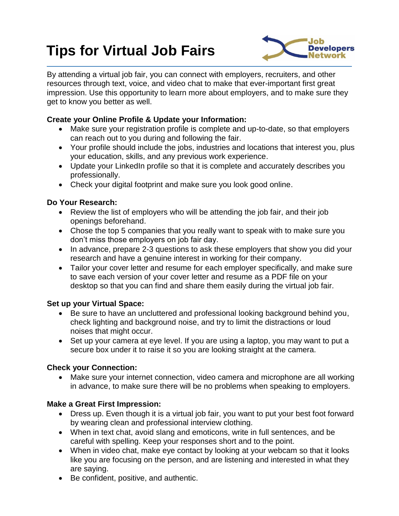# **Tips for Virtual Job Fairs**



By attending a virtual job fair, you can connect with employers, recruiters, and other resources through text, voice, and video chat to make that ever-important first great impression. Use this opportunity to learn more about employers, and to make sure they get to know you better as well.

## **Create your Online Profile & Update your Information:**

- Make sure your registration profile is complete and up-to-date, so that employers can reach out to you during and following the fair.
- Your profile should include the jobs, industries and locations that interest you, plus your education, skills, and any previous work experience.
- Update your LinkedIn profile so that it is complete and accurately describes you professionally.
- Check your digital footprint and make sure you look good online.

## **Do Your Research:**

- Review the list of employers who will be attending the job fair, and their job openings beforehand.
- Chose the top 5 companies that you really want to speak with to make sure you don't miss those employers on job fair day.
- In advance, prepare 2-3 questions to ask these employers that show you did your research and have a genuine interest in working for their company.
- Tailor your cover letter and resume for each employer specifically, and make sure to save each version of your cover letter and resume as a PDF file on your desktop so that you can find and share them easily during the virtual job fair.

### **Set up your Virtual Space:**

- Be sure to have an uncluttered and professional looking background behind you, check lighting and background noise, and try to limit the distractions or loud noises that might occur.
- Set up your camera at eye level. If you are using a laptop, you may want to put a secure box under it to raise it so you are looking straight at the camera.

# **Check your Connection:**

 Make sure your internet connection, video camera and microphone are all working in advance, to make sure there will be no problems when speaking to employers.

# **Make a Great First Impression:**

- Dress up. Even though it is a virtual job fair, you want to put your best foot forward by wearing clean and professional interview clothing.
- When in text chat, avoid slang and emoticons, write in full sentences, and be careful with spelling. Keep your responses short and to the point.
- When in video chat, make eye contact by looking at your webcam so that it looks like you are focusing on the person, and are listening and interested in what they are saying.
- Be confident, positive, and authentic.